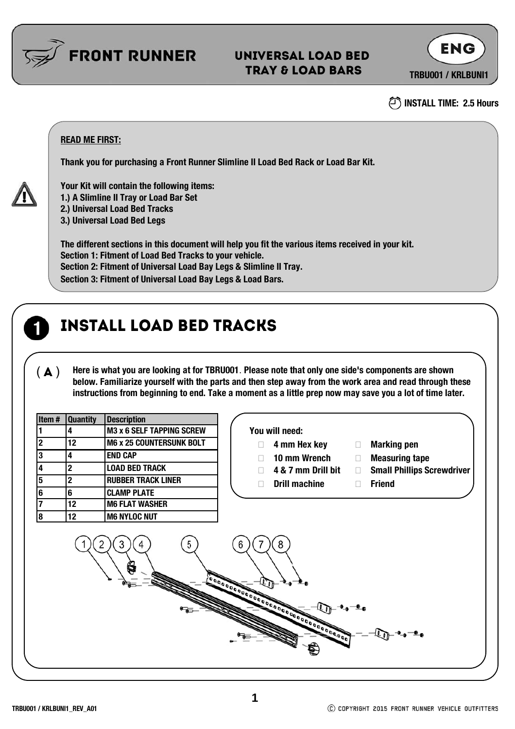

### Universal LOAD BED TRAY & Load BArs

**TRBU001 / KRLBUNI1**

**ENG** 



### **READ ME FIRST:**

**Thank you for purchasing a Front Runner Slimline II Load Bed Rack or Load Bar Kit.**



**Your Kit will contain the following items:**

**1.) A Slimline II Tray or Load Bar Set**

**2.) Universal Load Bed Tracks**

**3.) Universal Load Bed Legs** 

**The different sections in this document will help you fit the various items received in your kit. Section 1: Fitment of Load Bed Tracks to your vehicle. Section 2: Fitment of Universal Load Bay Legs & Slimline II Tray. Section 3: Fitment of Universal Load Bay Legs & Load Bars.** 

### INSTALL LOAD BED TRACKS

( $\blacktriangle$ ) Here is what you are looking at for TBRU001. Please note that only one side's components are shown **below. Familiarize yourself with the parts and then step away from the work area and read through these instructions from beginning to end. Take a moment as a little prep now may save you a lot of time later.**

| Item#          | <b>Quantity</b>                                                                     | <b>Description</b>              |                                                                   |
|----------------|-------------------------------------------------------------------------------------|---------------------------------|-------------------------------------------------------------------|
|                | 4                                                                                   | M3 x 6 SELF TAPPING SCREW       | You will need:                                                    |
| $\overline{2}$ | 12                                                                                  | <b>M6 x 25 COUNTERSUNK BOLT</b> | 4 mm Hex key<br><b>Marking pen</b><br>$\Box$                      |
| 3              | 4                                                                                   | <b>END CAP</b>                  | 10 mm Wrench<br><b>Measuring tape</b><br>$\Box$                   |
| 4              | $\overline{2}$                                                                      | <b>LOAD BED TRACK</b>           | <b>Small Phillips Screwdriver</b><br>4 & 7 mm Drill bit<br>$\Box$ |
| 5              | $\overline{2}$                                                                      | <b>RUBBER TRACK LINER</b>       | <b>Drill machine</b><br><b>Friend</b><br>П<br>$\Box$              |
| 6              | 6                                                                                   | <b>CLAMP PLATE</b>              |                                                                   |
| 7              | 12                                                                                  | <b>M6 FLAT WASHER</b>           |                                                                   |
| $\bf{8}$       | 12                                                                                  | <b>M6 NYLOC NUT</b>             |                                                                   |
|                | 5<br>8<br>3<br>4<br>h<br>Ç<br>Accession Concernment of California Concernment<br>Ø, |                                 |                                                                   |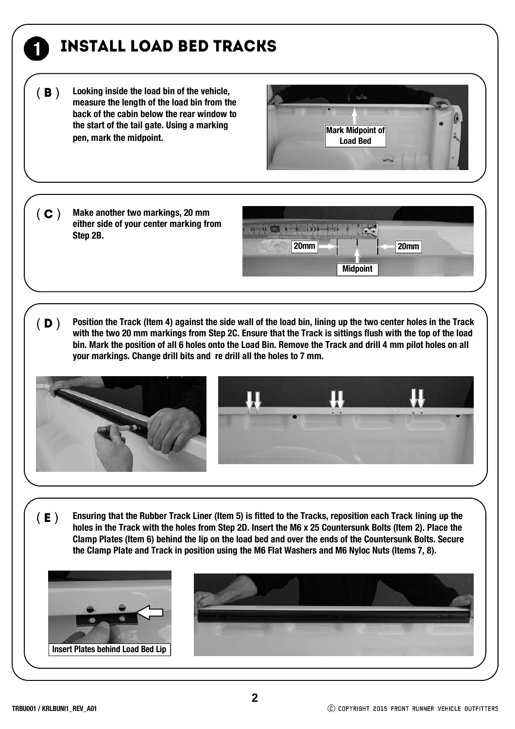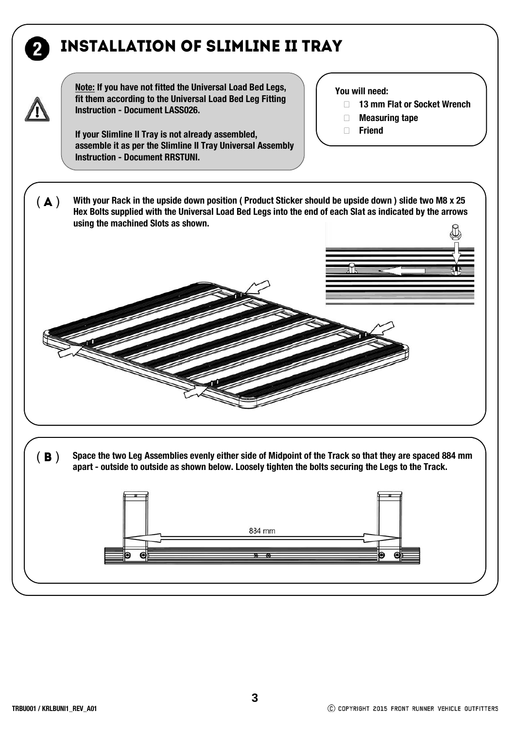# installation of slimline ii tray



**Note: If you have not fitted the Universal Load Bed Legs, fit them according to the Universal Load Bed Leg Fitting Instruction - Document LASS026.**

**If your Slimline II Tray is not already assembled, assemble it as per the Slimline II Tray Universal Assembly Instruction - Document RRSTUNI.**

#### **You will need:**

- **13 mm Flat or Socket Wrench**
- **Measuring tape**
- **Friend**

( $\blacktriangle$ ) With your Rack in the upside down position (Product Sticker should be upside down) slide two M8 x 25 **Hex Bolts supplied with the Universal Load Bed Legs into the end of each Slat as indicated by the arrows using the machined Slots as shown.** 

(**B**) Space the two Leg Assemblies evenly either side of Midpoint of the Track so that they are spaced 884 mm<br>apart - outside to outside as shown below. Loosely tighten the bolts securing the Legs to the Track.

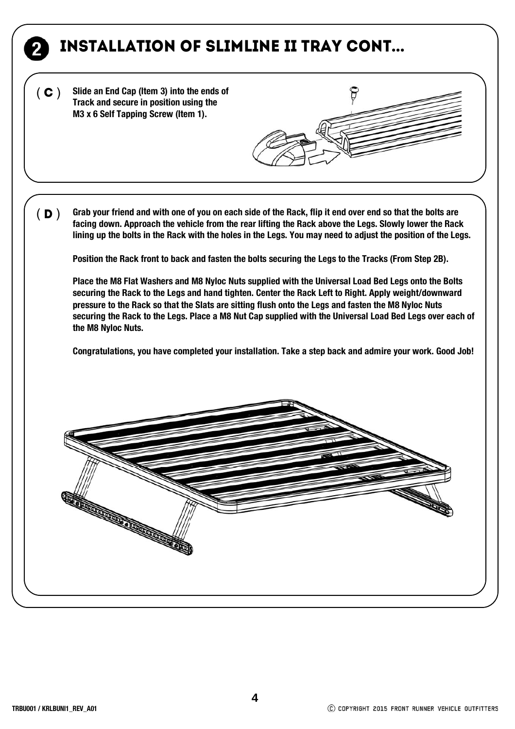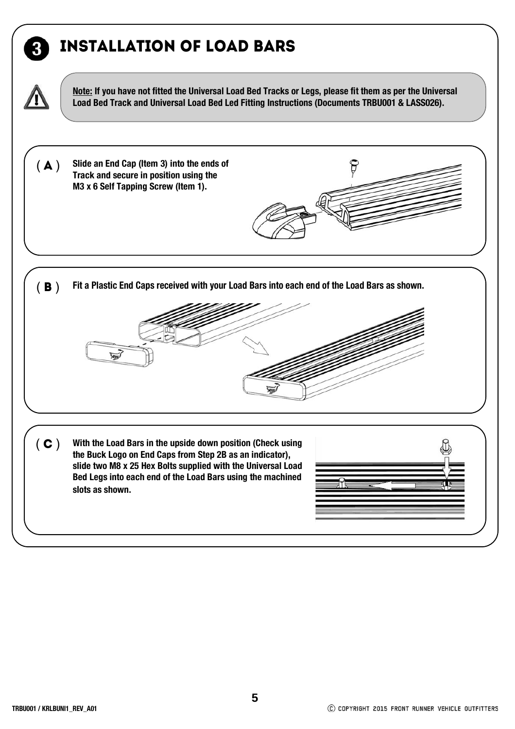## installation OF LOAD BARS



3

**Note: If you have not fitted the Universal Load Bed Tracks or Legs, please fit them as per the Universal Load Bed Track and Universal Load Bed Led Fitting Instructions (Documents TRBU001 & LASS026).**

ទ

**Slide an End Cap (Item 3) into the ends of Track and secure in position using the M3 x 6 Self Tapping Screw (Item 1).**   $(A)$ 

(**B**) Fit a Plastic End Caps received with your Load Bars into each end of the Load Bars as shown.



( C ) With the Load Bars in the upside down position (Check using **the Buck Logo on End Caps from Step 2B as an indicator), slide two M8 x 25 Hex Bolts supplied with the Universal Load Bed Legs into each end of the Load Bars using the machined slots as shown.**